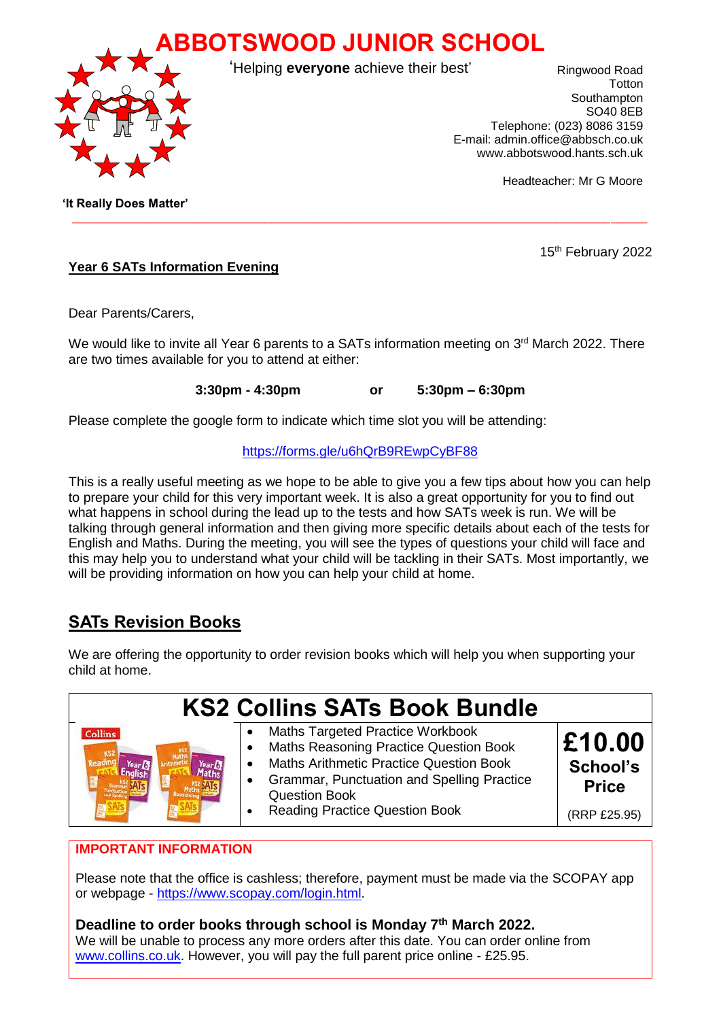



'Helping **everyone** achieve their best'

Ringwood Road Totton Southampton SO40 8EB Telephone: (023) 8086 3159 E-mail: admin.office@abbsch.co.uk www.abbotswood.hants.sch.uk

Headteacher: Mr G Moore

15<sup>th</sup> February 2022

 **'It Really Does Matter'**

### **Year 6 SATs Information Evening**

Dear Parents/Carers,

We would like to invite all Year 6 parents to a SATs information meeting on 3<sup>rd</sup> March 2022. There are two times available for you to attend at either:

 $\_$  ,  $\_$  ,  $\_$  ,  $\_$  ,  $\_$  ,  $\_$  ,  $\_$  ,  $\_$  ,  $\_$  ,  $\_$  ,  $\_$  ,  $\_$  ,  $\_$  ,  $\_$  ,  $\_$  ,  $\_$  ,  $\_$  ,  $\_$  ,  $\_$  ,  $\_$  ,  $\_$  ,  $\_$  ,  $\_$  ,  $\_$  ,  $\_$  ,  $\_$  ,  $\_$  ,  $\_$  ,  $\_$  ,  $\_$  ,  $\_$  ,  $\_$  ,  $\_$  ,  $\_$  ,  $\_$  ,  $\_$  ,  $\_$  ,

**3:30pm - 4:30pm or 5:30pm – 6:30pm**

Please complete the google form to indicate which time slot you will be attending:

#### <https://forms.gle/u6hQrB9REwpCyBF88>

This is a really useful meeting as we hope to be able to give you a few tips about how you can help to prepare your child for this very important week. It is also a great opportunity for you to find out what happens in school during the lead up to the tests and how SATs week is run. We will be talking through general information and then giving more specific details about each of the tests for English and Maths. During the meeting, you will see the types of questions your child will face and this may help you to understand what your child will be tackling in their SATs. Most importantly, we will be providing information on how you can help your child at home.

# **SATs Revision Books**

We are offering the opportunity to order revision books which will help you when supporting your child at home.

|                | <b>KS2 Collins SATs Book Bundle</b>                                                                                                                                                                                                                             |                                                    |
|----------------|-----------------------------------------------------------------------------------------------------------------------------------------------------------------------------------------------------------------------------------------------------------------|----------------------------------------------------|
| <b>Collins</b> | Maths Targeted Practice Workbook<br>Maths Reasoning Practice Question Book<br><b>Maths Arithmetic Practice Question Book</b><br>$\bullet$<br><b>Grammar, Punctuation and Spelling Practice</b><br><b>Question Book</b><br><b>Reading Practice Question Book</b> | £10.00<br>School's<br><b>Price</b><br>(RRP £25.95) |

### **IMPORTANT INFORMATION**

Please note that the office is cashless; therefore, payment must be made via the SCOPAY app or webpage - [https://www.scopay.com/login.html.](https://www.scopay.com/login.html)

## **Deadline to order books through school is Monday 7th March 2022.**

We will be unable to process any more orders after this date. You can order online from [www.collins.co.uk.](http://www.collins.co.uk/) However, you will pay the full parent price online - £25.95.